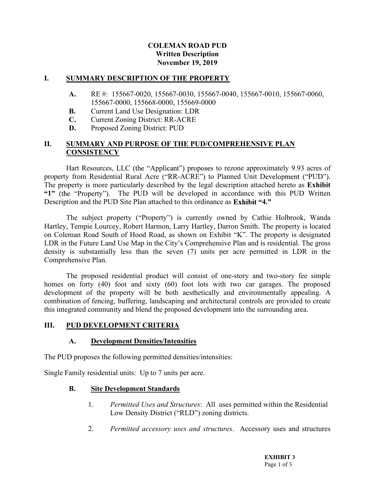### COLEMAN ROAD PUD Written Description November 19, 2019

#### I. SUMMARY DESCRIPTION OF THE PROPERTY

- A. RE#: 155667-0020, 155667-0030, 155667-0040, 155667-0010, 155667-0060, 155667-0000, 155668-0000, 155669-0000
- **B.** Current Land Use Designation: LDR
- C. Current Zoning District: RR-ACRE
- D. Proposed Zoning District: PUD

### II. SUMMARY AND PURPOSE OF THE PUD/COMPREHENSIVE PLAN **CONSISTENCY**

Hart Resources, LLC (the "Applicant") proposes to rezone approximately 9.93 acres of property from Residential Rural Acre ("RR-ACRE") to Planned Unit De The property is more particularly described by the legal description attached hereto as Exhibit 1" (the "Property"). The PUD will be developed in accordance with this PUD Written Description and the PUD Site Plan attached to this ordinance as Exhibit "4.

The subject property ("Property") is currently owned by Cathie Holbrook, Wanda Hartley, Tempie Lourcey, Robert Harmon, Larry Hartley, Darron Smith. The property is located on Coleman Road South of Hood Road, as shown on Exhibit "K". The property is designated LDR in the Future Land Use Map in the City's Comprehensive Plan and is residential. The gross density is substantially less than the seven (7) units per acre permitted in LDR in the Comprehensive Plan.

 The proposed residential product will consist of one-story and two-story fee simple homes on forty (40) foot and sixty (60) foot lots with two car garages. The proposed development of the property will be both aesthetically and environmentally appealing. A combination of fencing, buffering, landscaping and architectural controls are provided to create this integrated community and blend the proposed development into the surrounding area.

#### III. PUD DEVELOPMENT CRITERIA

#### A. Development Densities/Intensities

The PUD proposes the following permitted densities/intensities:

Single Family residential units: Up to 7 units per acre.

#### **B.** Site Development Standards

- 1. Permitted Uses and Structures: All uses permitted within the Residential Low Density District ("RLD") zoning districts.
- 2. Permitted accessory uses and structures. Accessory uses and structures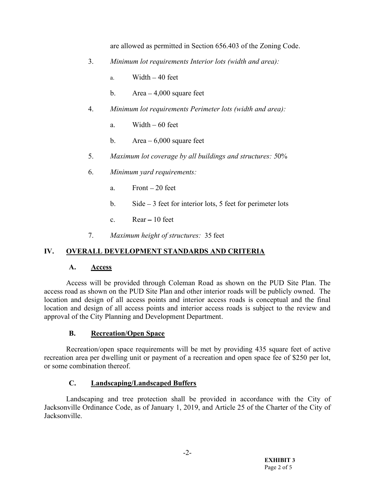are allowed as permitted in Section 656.403 of the Zoning Code.

- 3. Minimum lot requirements Interior lots (width and area):
	- a. Width  $-40$  feet
	- b. Area  $-4,000$  square feet
- 4. Minimum lot requirements Perimeter lots (width and area):
	- a. Width  $-60$  feet
	- b. Area  $-6,000$  square feet
- 5. Maximum lot coverage by all buildings and structures: 50%
- 6. Minimum yard requirements:
	- a. Front  $-20$  feet
	- b. Side  $-3$  feet for interior lots, 5 feet for perimeter lots
	- c.  $Rear 10$  feet
- 7. Maximum height of structures: 35 feet

### IV. OVERALL DEVELOPMENT STANDARDS AND CRITERIA

#### A. Access

 Access will be provided through Coleman Road as shown on the PUD Site Plan. The access road as shown on the PUD Site Plan and other interior roads will be publicly owned. The location and design of all access points and interior access roads is conceptual and the final location and design of all access points and interior access roads is subject to the review and approval of the City Planning and Development Department.

### B. Recreation/Open Space

 Recreation/open space requirements will be met by providing 435 square feet of active recreation area per dwelling unit or payment of a recreation and open space fee of \$250 per lot, or some combination thereof.

### C. Landscaping/Landscaped Buffers

 Landscaping and tree protection shall be provided in accordance with the City of Jacksonville Ordinance Code, as of January 1, 2019, and Article 25 of the Charter of the City of Jacksonville.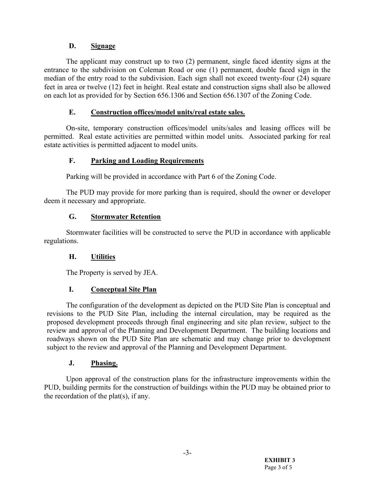# D. Signage

 The applicant may construct up to two (2) permanent, single faced identity signs at the entrance to the subdivision on Coleman Road or one (1) permanent, double faced sign in the median of the entry road to the subdivision. Each sign shall not exceed twenty-four (24) square feet in area or twelve (12) feet in height. Real estate and construction signs shall also be allowed on each lot as provided for by Section 656.1306 and Section 656.1307 of the Zoning Code.

# E. Construction offices/model units/real estate sales.

 On-site, temporary construction offices/model units/sales and leasing offices will be permitted. Real estate activities are permitted within model units. Associated parking for real estate activities is permitted adjacent to model units.

# F. Parking and Loading Requirements

Parking will be provided in accordance with Part 6 of the Zoning Code.

 The PUD may provide for more parking than is required, should the owner or developer deem it necessary and appropriate.

# G. Stormwater Retention

 Stormwater facilities will be constructed to serve the PUD in accordance with applicable regulations.

# H. Utilities

The Property is served by JEA.

# I. Conceptual Site Plan

 The configuration of the development as depicted on the PUD Site Plan is conceptual and revisions to the PUD Site Plan, including the internal circulation, may be required as the proposed development proceeds through final engineering and site plan review, subject to the review and approval of the Planning and Development Department. The building locations and roadways shown on the PUD Site Plan are schematic and may change prior to development subject to the review and approval of the Planning and Development Department.

### J. Phasing.

 Upon approval of the construction plans for the infrastructure improvements within the PUD, building permits for the construction of buildings within the PUD may be obtained prior to the recordation of the plat(s), if any.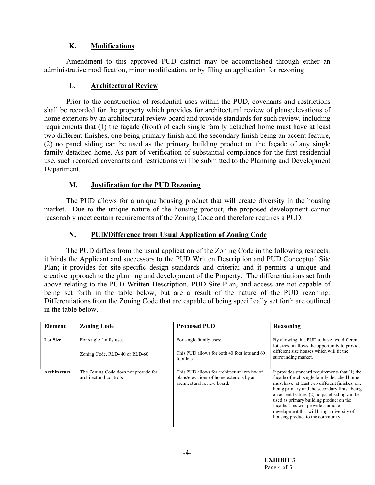# K. Modifications

 Amendment to this approved PUD district may be accomplished through either an administrative modification, minor modification, or by filing an application for rezoning.

# L. Architectural Review

 Prior to the construction of residential uses within the PUD, covenants and restrictions shall be recorded for the property which provides for architectural review of plans/elevations of home exteriors by an architectural review board and provide standards for such review, including requirements that (1) the façade (front) of each single family detached home must have at least two different finishes, one being primary finish and the secondary finish being an accent feature, (2) no panel siding can be used as the primary building product on the façade of any single family detached home. As part of verification of substantial compliance for the first residential use, such recorded covenants and restrictions will be submitted to the Planning and Development Department.

# M. Justification for the PUD Rezoning

 The PUD allows for a unique housing product that will create diversity in the housing market. Due to the unique nature of the housing product, the proposed development cannot reasonably meet certain requirements of the Zoning Code and therefore requires a PUD.

# N. PUD/Difference from Usual Application of Zoning Code

 The PUD differs from the usual application of the Zoning Code in the following respects: it binds the Applicant and successors to the PUD Written Description and PUD Conceptual Site Plan; it provides for site-specific design standards and criteria; and it permits a unique and creative approach to the planning and development of the Property. The differentiations set forth above relating to the PUD Written Description, PUD Site Plan, and access are not capable of being set forth in the table below, but are a result of the nature of the PUD rezoning. Differentiations from the Zoning Code that are capable of being specifically set forth are outlined in the table below.

| Element         | <b>Zoning Code</b>                                              | <b>Proposed PUD</b>                                                                                                    | Reasoning                                                                                                                                                                                                                                                                                                                                                                                                             |
|-----------------|-----------------------------------------------------------------|------------------------------------------------------------------------------------------------------------------------|-----------------------------------------------------------------------------------------------------------------------------------------------------------------------------------------------------------------------------------------------------------------------------------------------------------------------------------------------------------------------------------------------------------------------|
| <b>Lot Size</b> | For single family uses:<br>Zoning Code, RLD-40 or RLD-60        | For single family uses:<br>This PUD allows for both 40 foot lots and 60<br>foot lots                                   | By allowing this PUD to have two different<br>lot sizes, it allows the opportunity to provide<br>different size houses which will fit the<br>surrounding market.                                                                                                                                                                                                                                                      |
| Architecture    | The Zoning Code does not provide for<br>architectural controls. | This PUD allows for architectural review of<br>plans/elevations of home exteriors by an<br>architectural review board. | It provides standard requirements that (1) the<br>facade of each single family detached home<br>must have at least two different finishes, one<br>being primary and the secondary finish being<br>an accent feature, $(2)$ no panel siding can be<br>used as primary building product on the<br>façade. This will provide a unique<br>development that will bring a diversity of<br>housing product to the community. |